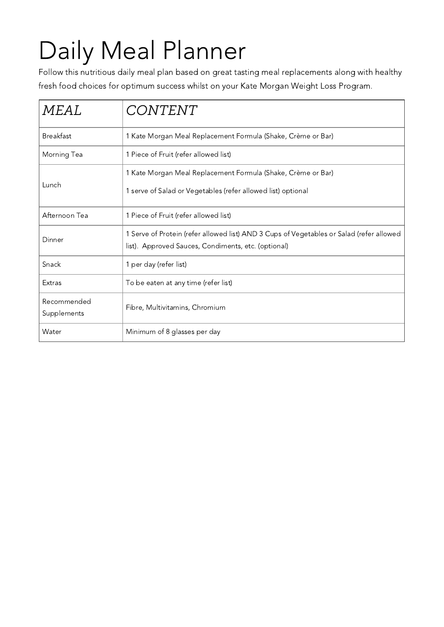# Daily Meal Planner

Follow this nutritious daily meal plan based on great tasting meal replacements along with healthy fresh food choices for optimum success whilst on your Kate Morgan Weight Loss Program.

| <b>MEAL</b>                | CONTENT                                                                                                                                         |  |
|----------------------------|-------------------------------------------------------------------------------------------------------------------------------------------------|--|
| <b>Breakfast</b>           | 1 Kate Morgan Meal Replacement Formula (Shake, Crème or Bar)                                                                                    |  |
| Morning Tea                | 1 Piece of Fruit (refer allowed list)                                                                                                           |  |
| Lunch                      | 1 Kate Morgan Meal Replacement Formula (Shake, Crème or Bar)<br>1 serve of Salad or Vegetables (refer allowed list) optional                    |  |
| Afternoon Tea              | 1 Piece of Fruit (refer allowed list)                                                                                                           |  |
| Dinner                     | 1 Serve of Protein (refer allowed list) AND 3 Cups of Vegetables or Salad (refer allowed<br>list). Approved Sauces, Condiments, etc. (optional) |  |
| Snack                      | 1 per day (refer list)                                                                                                                          |  |
| <b>Extras</b>              | To be eaten at any time (refer list)                                                                                                            |  |
| Recommended<br>Supplements | Fibre, Multivitamins, Chromium                                                                                                                  |  |
| Water                      | Minimum of 8 glasses per day                                                                                                                    |  |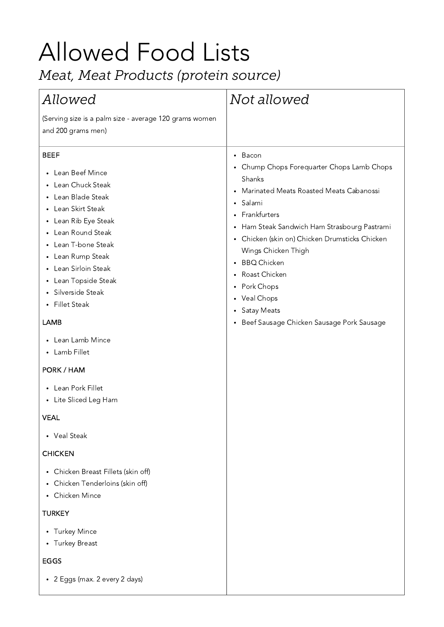# Allowed Food Lists

*Meat, Meat Product (protein ource)*

| Allowed                                                                                                                                                                                                                                                                                                                                                                                                                                                                                                                                                     | Not allowed                                                                                                                                                                                                                                                                                                                                                                                                  |
|-------------------------------------------------------------------------------------------------------------------------------------------------------------------------------------------------------------------------------------------------------------------------------------------------------------------------------------------------------------------------------------------------------------------------------------------------------------------------------------------------------------------------------------------------------------|--------------------------------------------------------------------------------------------------------------------------------------------------------------------------------------------------------------------------------------------------------------------------------------------------------------------------------------------------------------------------------------------------------------|
| (Serving size is a palm size - average 120 grams women<br>and 200 grams men)                                                                                                                                                                                                                                                                                                                                                                                                                                                                                |                                                                                                                                                                                                                                                                                                                                                                                                              |
| <b>BEEF</b><br>Lean Beef Mince<br>$\bullet$<br>Lean Chuck Steak<br>Lean Blade Steak<br>$\bullet$<br>Lean Skirt Steak<br>$\bullet$<br>Lean Rib Eye Steak<br>$\bullet$<br>Lean Round Steak<br>$\bullet$<br>Lean T-bone Steak<br>Lean Rump Steak<br>$\bullet$<br>Lean Sirloin Steak<br>$\bullet$<br>Lean Topside Steak<br>٠<br>Silverside Steak<br>• Fillet Steak<br>LAMB<br>Lean Lamb Mince<br>$\bullet$<br>Lamb Fillet<br>$\bullet$<br>PORK / HAM<br>Lean Pork Fillet<br>$\bullet$<br>• Lite Sliced Leg Ham<br><b>VEAL</b><br>• Veal Steak<br><b>CHICKEN</b> | • Bacon<br>• Chump Chops Forequarter Chops Lamb Chops<br>Shanks<br>Marinated Meats Roasted Meats Cabanossi<br>Salami<br>$\bullet$<br>• Frankfurters<br>Ham Steak Sandwich Ham Strasbourg Pastrami<br>• Chicken (skin on) Chicken Drumsticks Chicken<br>Wings Chicken Thigh<br>• BBQ Chicken<br>Roast Chicken<br>• Pork Chops<br>• Veal Chops<br>• Satay Meats<br>• Beef Sausage Chicken Sausage Pork Sausage |
| Chicken Breast Fillets (skin off)<br>$\bullet$<br>Chicken Tenderloins (skin off)<br>٠<br>Chicken Mince<br>$\bullet$                                                                                                                                                                                                                                                                                                                                                                                                                                         |                                                                                                                                                                                                                                                                                                                                                                                                              |
| <b>TURKEY</b>                                                                                                                                                                                                                                                                                                                                                                                                                                                                                                                                               |                                                                                                                                                                                                                                                                                                                                                                                                              |
| <b>Turkey Mince</b><br>$\bullet$<br><b>Turkey Breast</b><br>$\bullet$                                                                                                                                                                                                                                                                                                                                                                                                                                                                                       |                                                                                                                                                                                                                                                                                                                                                                                                              |
| EGGS                                                                                                                                                                                                                                                                                                                                                                                                                                                                                                                                                        |                                                                                                                                                                                                                                                                                                                                                                                                              |
| • 2 Eggs (max. 2 every 2 days)                                                                                                                                                                                                                                                                                                                                                                                                                                                                                                                              |                                                                                                                                                                                                                                                                                                                                                                                                              |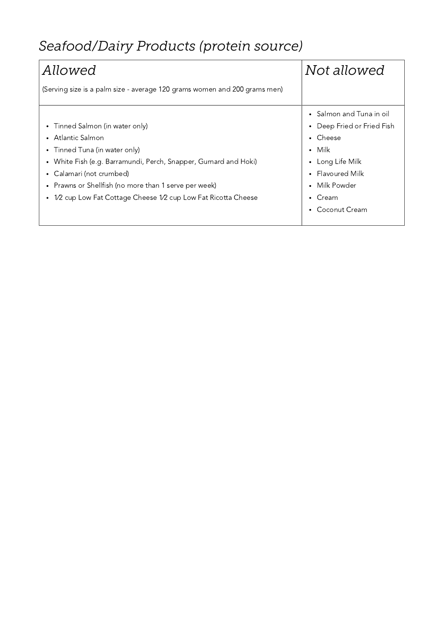# *eafood/Dair Product (protein ource)*

| Allowed                                                                   | Not allowed                   |
|---------------------------------------------------------------------------|-------------------------------|
| (Serving size is a palm size - average 120 grams women and 200 grams men) |                               |
|                                                                           | • Salmon and Tuna in oil      |
| • Tinned Salmon (in water only)                                           | Deep Fried or Fried Fish<br>٠ |
| • Atlantic Salmon                                                         | Cheese<br>٠                   |
| • Tinned Tuna (in water only)                                             | Milk<br>$\bullet$             |
| • White Fish (e.g. Barramundi, Perch, Snapper, Gurnard and Hoki)          | Long Life Milk<br>$\bullet$   |
| Calamari (not crumbed)                                                    | • Flavoured Milk              |
| • Prawns or Shellfish (no more than 1 serve per week)                     | Milk Powder<br>$\bullet$      |
| 1/2 cup Low Fat Cottage Cheese 1/2 cup Low Fat Ricotta Cheese             | Cream<br>$\bullet$            |
|                                                                           | Coconut Cream<br>٠            |
|                                                                           |                               |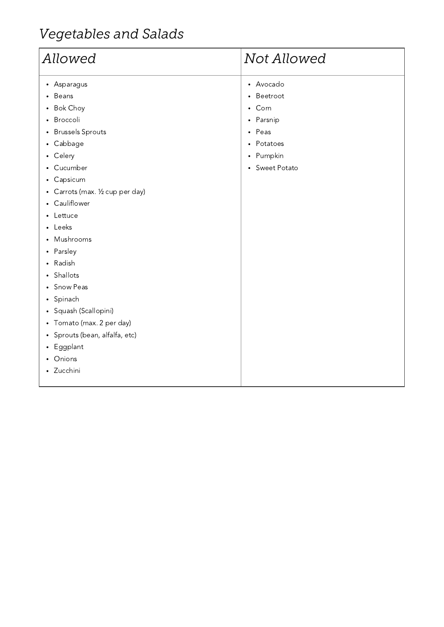## **Vegetables** and Salads

| Allowed                                                                                                                                                                                                                                                                                                                                                                                                                                                                                                                                                                                                                                                                               | Not Allowed                                                                                                                                       |
|---------------------------------------------------------------------------------------------------------------------------------------------------------------------------------------------------------------------------------------------------------------------------------------------------------------------------------------------------------------------------------------------------------------------------------------------------------------------------------------------------------------------------------------------------------------------------------------------------------------------------------------------------------------------------------------|---------------------------------------------------------------------------------------------------------------------------------------------------|
| Asparagus<br>$\bullet$<br>Beans<br>$\bullet$<br><b>Bok Choy</b><br>٠<br>Broccoli<br>$\bullet$<br><b>Brussels Sprouts</b><br>$\bullet$<br>Cabbage<br>$\bullet$<br>Celery<br>$\bullet$<br>Cucumber<br>$\bullet$<br>Capsicum<br>$\bullet$<br>Carrots (max. 1/2 cup per day)<br>$\bullet$<br>Cauliflower<br>$\bullet$<br>Lettuce<br>٠<br>Leeks<br>$\bullet$<br>Mushrooms<br>$\bullet$<br>Parsley<br>$\bullet$<br>Radish<br>$\bullet$<br>Shallots<br>$\bullet$<br>Snow Peas<br>٠<br>Spinach<br>$\bullet$<br>Squash (Scallopini)<br>$\bullet$<br>Tomato (max. 2 per day)<br>$\bullet$<br>Sprouts (bean, alfalfa, etc)<br>٠<br>Eggplant<br>$\bullet$<br>Onions<br>$\bullet$<br>Zucchini<br>٠ | • Avocado<br>Beetroot<br>$\bullet$<br>• Corn<br>Parsnip<br>$\bullet$<br>• Peas<br>Potatoes<br>$\bullet$<br>• Pumpkin<br>Sweet Potato<br>$\bullet$ |
|                                                                                                                                                                                                                                                                                                                                                                                                                                                                                                                                                                                                                                                                                       |                                                                                                                                                   |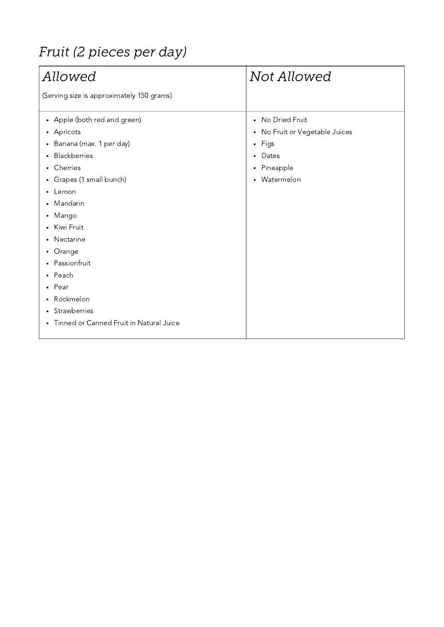## *Fruit* (2 pieces per day)

| Allowed                                                                                                                                                                                                                                                                                                                                                                                                                                                                                                                                   | Not Allowed                                                                                                                                           |
|-------------------------------------------------------------------------------------------------------------------------------------------------------------------------------------------------------------------------------------------------------------------------------------------------------------------------------------------------------------------------------------------------------------------------------------------------------------------------------------------------------------------------------------------|-------------------------------------------------------------------------------------------------------------------------------------------------------|
| (Serving size is approximately 150 grams)                                                                                                                                                                                                                                                                                                                                                                                                                                                                                                 |                                                                                                                                                       |
| • Apple (both red and green)<br>Apricots<br>$\bullet$<br>Banana (max. 1 per day)<br>$\bullet$<br><b>Blackberries</b><br>$\bullet$<br>Cherries<br>$\bullet$<br>Grapes (1 small bunch)<br>$\bullet$<br>Lemon<br>$\bullet$<br>Mandarin<br>$\bullet$<br>Mango<br>$\bullet$<br>Kiwi Fruit<br>$\bullet$<br>Nectarine<br>$\bullet$<br>Orange<br>$\bullet$<br>Passionfruit<br>$\bullet$<br>Peach<br>$\bullet$<br>Pear<br>$\bullet$<br>Rockmelon<br>$\bullet$<br>Strawberries<br>$\bullet$<br>Tinned or Canned Fruit in Natural Juice<br>$\bullet$ | • No Dried Fruit<br>No Fruit or Vegetable Juices<br>٠<br>Figs<br>$\bullet$<br>Dates<br>$\bullet$<br>Pineapple<br>$\bullet$<br>Watermelon<br>$\bullet$ |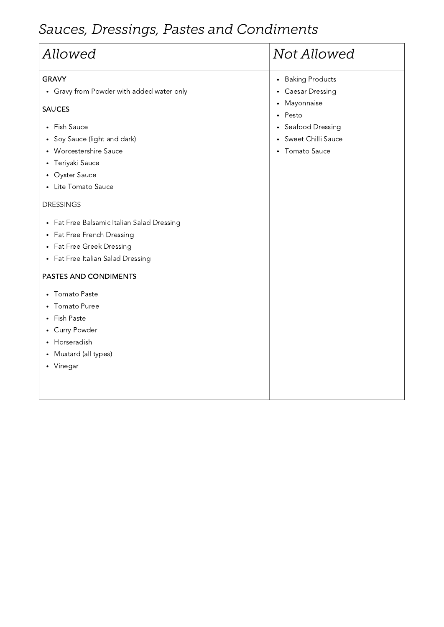## $Sauces, Dressings, Pastes and Condiments$

| Allowed                                                                                                                                                                                           | Not Allowed                         |  |
|---------------------------------------------------------------------------------------------------------------------------------------------------------------------------------------------------|-------------------------------------|--|
| <b>GRAVY</b>                                                                                                                                                                                      | <b>Baking Products</b><br>$\bullet$ |  |
| • Gravy from Powder with added water only                                                                                                                                                         | <b>Caesar Dressing</b><br>$\bullet$ |  |
| <b>SAUCES</b>                                                                                                                                                                                     | Mayonnaise<br>٠<br>Pesto            |  |
| Fish Sauce<br>$\bullet$                                                                                                                                                                           | Seafood Dressing                    |  |
| Soy Sauce (light and dark)<br>$\bullet$                                                                                                                                                           | Sweet Chilli Sauce<br>$\bullet$     |  |
| Worcestershire Sauce<br>$\bullet$                                                                                                                                                                 | <b>Tomato Sauce</b><br>$\bullet$    |  |
| Teriyaki Sauce<br>٠                                                                                                                                                                               |                                     |  |
| <b>Oyster Sauce</b><br>٠                                                                                                                                                                          |                                     |  |
| Lite Tomato Sauce<br>$\bullet$                                                                                                                                                                    |                                     |  |
| <b>DRESSINGS</b>                                                                                                                                                                                  |                                     |  |
| Fat Free Balsamic Italian Salad Dressing<br>$\bullet$<br>Fat Free French Dressing<br>$\bullet$<br>Fat Free Greek Dressing<br>$\bullet$<br>Fat Free Italian Salad Dressing<br>$\bullet$            |                                     |  |
| PASTES AND CONDIMENTS                                                                                                                                                                             |                                     |  |
| Tomato Paste<br>$\bullet$<br><b>Tomato Puree</b><br>$\bullet$<br><b>Fish Paste</b><br><b>Curry Powder</b><br>$\bullet$<br>Horseradish<br>$\bullet$<br>Mustard (all types)<br>Vinegar<br>$\bullet$ |                                     |  |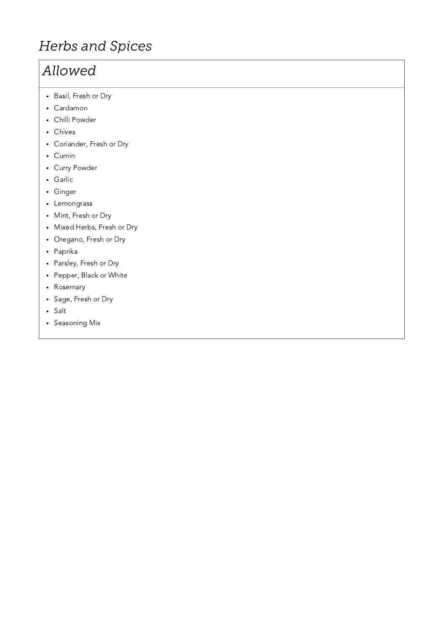### **Herbs** and Spices

#### *Allowed*

- Basil, Fresh or Dry
- Cardamon
- Chilli Powder
- Chives
- Coriander, Fresh or Dry
- Cumin
- Curry Powder
- Garlic
- Ginger
- Lemongrass
- Mint, Fresh or Dry
- Mixed Herbs, Fresh or Dry
- Oregano, Fresh or Dry
- Paprika
- Parsley, Fresh or Dry
- Pepper, Black or White
- Rosemary
- Sage, Fresh or Dry
- Salt
- Seasoning Mix